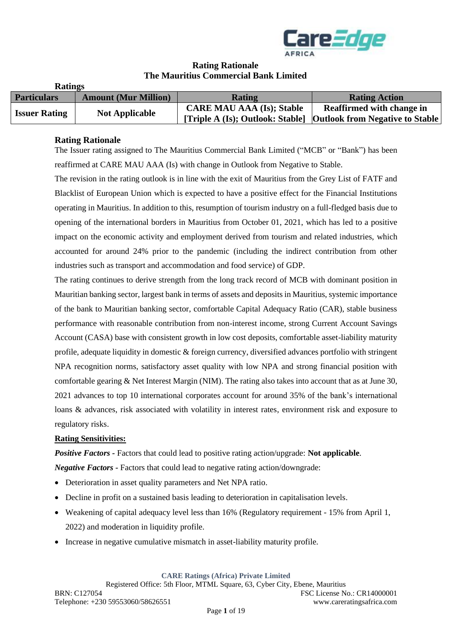

## **Rating Rationale The Mauritius Commercial Bank Limited**

| Raumes               |                             |                                  |                                                                    |
|----------------------|-----------------------------|----------------------------------|--------------------------------------------------------------------|
| <b>Particulars</b>   | <b>Amount (Mur Million)</b> | <b>Rating</b>                    | <b>Rating Action</b>                                               |
| <b>Issuer Rating</b> | <b>Not Applicable</b>       | <b>CARE MAU AAA (Is); Stable</b> | <b>Reaffirmed with change in</b>                                   |
|                      |                             |                                  | [Triple A (Is); Outlook: Stable]   Outlook from Negative to Stable |

#### **Rating Rationale**

**Ratings**

The Issuer rating assigned to The Mauritius Commercial Bank Limited ("MCB" or "Bank") has been reaffirmed at CARE MAU AAA (Is) with change in Outlook from Negative to Stable.

The revision in the rating outlook is in line with the exit of Mauritius from the Grey List of FATF and Blacklist of European Union which is expected to have a positive effect for the Financial Institutions operating in Mauritius. In addition to this, resumption of tourism industry on a full-fledged basis due to opening of the international borders in Mauritius from October 01, 2021, which has led to a positive impact on the economic activity and employment derived from tourism and related industries, which accounted for around 24% prior to the pandemic (including the indirect contribution from other industries such as transport and accommodation and food service) of GDP.

The rating continues to derive strength from the long track record of MCB with dominant position in Mauritian banking sector, largest bank in terms of assets and deposits in Mauritius, systemic importance of the bank to Mauritian banking sector, comfortable Capital Adequacy Ratio (CAR), stable business performance with reasonable contribution from non-interest income, strong Current Account Savings Account (CASA) base with consistent growth in low cost deposits, comfortable asset-liability maturity profile, adequate liquidity in domestic & foreign currency, diversified advances portfolio with stringent NPA recognition norms, satisfactory asset quality with low NPA and strong financial position with comfortable gearing & Net Interest Margin (NIM). The rating also takes into account that as at June 30, 2021 advances to top 10 international corporates account for around 35% of the bank's international loans & advances, risk associated with volatility in interest rates, environment risk and exposure to regulatory risks.

#### **Rating Sensitivities:**

*Positive Factors -* Factors that could lead to positive rating action/upgrade: **Not applicable***. Negative Factors -* Factors that could lead to negative rating action/downgrade:

- Deterioration in asset quality parameters and Net NPA ratio.
- Decline in profit on a sustained basis leading to deterioration in capitalisation levels.
- Weakening of capital adequacy level less than 16% (Regulatory requirement 15% from April 1, 2022) and moderation in liquidity profile.
- Increase in negative cumulative mismatch in asset-liability maturity profile.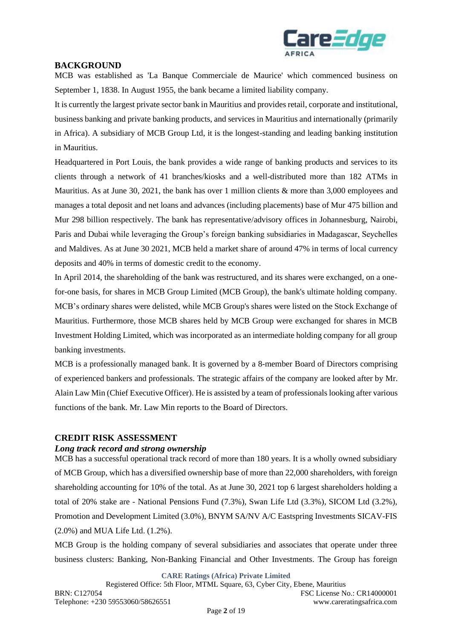

#### **BACKGROUND**

MCB was established as 'La Banque Commerciale de Maurice' which commenced business on September 1, 1838. In August 1955, the bank became a limited liability company.

It is currently the largest private sector bank in Mauritius and provides retail, corporate and institutional, business banking and private banking products, and services in Mauritius and internationally (primarily in Africa). A subsidiary of MCB Group Ltd, it is the longest-standing and leading banking institution in Mauritius.

Headquartered in Port Louis, the bank provides a wide range of banking products and services to its clients through a network of 41 branches/kiosks and a well-distributed more than 182 ATMs in Mauritius. As at June 30, 2021, the bank has over 1 million clients & more than 3,000 employees and manages a total deposit and net loans and advances (including placements) base of Mur 475 billion and Mur 298 billion respectively. The bank has representative/advisory offices in Johannesburg, Nairobi, Paris and Dubai while leveraging the Group's foreign banking subsidiaries in Madagascar, Seychelles and Maldives. As at June 30 2021, MCB held a market share of around 47% in terms of local currency deposits and 40% in terms of domestic credit to the economy.

In April 2014, the shareholding of the bank was restructured, and its shares were exchanged, on a onefor-one basis, for shares in MCB Group Limited (MCB Group), the bank's ultimate holding company. MCB's ordinary shares were delisted, while MCB Group's shares were listed on the Stock Exchange of Mauritius. Furthermore, those MCB shares held by MCB Group were exchanged for shares in MCB Investment Holding Limited, which was incorporated as an intermediate holding company for all group banking investments.

MCB is a professionally managed bank. It is governed by a 8-member Board of Directors comprising of experienced bankers and professionals. The strategic affairs of the company are looked after by Mr. Alain Law Min (Chief Executive Officer). He is assisted by a team of professionals looking after various functions of the bank. Mr. Law Min reports to the Board of Directors.

#### **CREDIT RISK ASSESSMENT**

#### *Long track record and strong ownership*

MCB has a successful operational track record of more than 180 years. It is a wholly owned subsidiary of MCB Group, which has a diversified ownership base of more than 22,000 shareholders, with foreign shareholding accounting for 10% of the total. As at June 30, 2021 top 6 largest shareholders holding a total of 20% stake are - National Pensions Fund (7.3%), Swan Life Ltd (3.3%), SICOM Ltd (3.2%), Promotion and Development Limited (3.0%), BNYM SA/NV A/C Eastspring Investments SICAV-FIS (2.0%) and MUA Life Ltd. (1.2%).

MCB Group is the holding company of several subsidiaries and associates that operate under three business clusters: Banking, Non-Banking Financial and Other Investments. The Group has foreign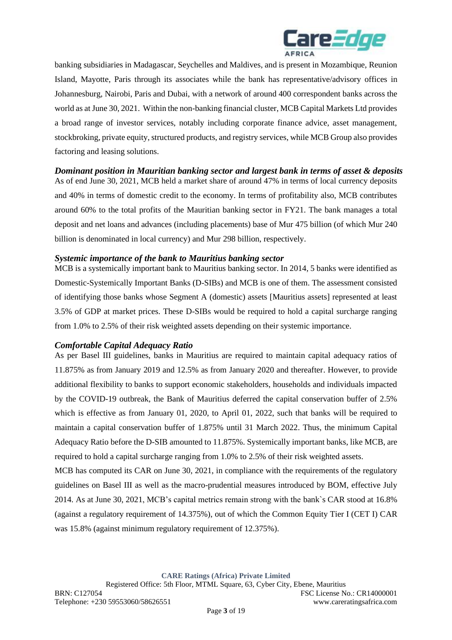

banking subsidiaries in Madagascar, Seychelles and Maldives, and is present in Mozambique, Reunion Island, Mayotte, Paris through its associates while the bank has representative/advisory offices in Johannesburg, Nairobi, Paris and Dubai, with a network of around 400 correspondent banks across the world as at June 30, 2021. Within the non-banking financial cluster, MCB Capital Markets Ltd provides a broad range of investor services, notably including corporate finance advice, asset management, stockbroking, private equity, structured products, and registry services, while MCB Group also provides factoring and leasing solutions.

*Dominant position in Mauritian banking sector and largest bank in terms of asset & deposits*

As of end June 30, 2021, MCB held a market share of around 47% in terms of local currency deposits and 40% in terms of domestic credit to the economy. In terms of profitability also, MCB contributes around 60% to the total profits of the Mauritian banking sector in FY21. The bank manages a total deposit and net loans and advances (including placements) base of Mur 475 billion (of which Mur 240 billion is denominated in local currency) and Mur 298 billion, respectively.

#### *Systemic importance of the bank to Mauritius banking sector*

MCB is a systemically important bank to Mauritius banking sector. In 2014, 5 banks were identified as Domestic-Systemically Important Banks (D-SIBs) and MCB is one of them. The assessment consisted of identifying those banks whose Segment A (domestic) assets [Mauritius assets] represented at least 3.5% of GDP at market prices. These D-SIBs would be required to hold a capital surcharge ranging from 1.0% to 2.5% of their risk weighted assets depending on their systemic importance.

### *Comfortable Capital Adequacy Ratio*

As per Basel III guidelines, banks in Mauritius are required to maintain capital adequacy ratios of 11.875% as from January 2019 and 12.5% as from January 2020 and thereafter. However, to provide additional flexibility to banks to support economic stakeholders, households and individuals impacted by the COVID-19 outbreak, the Bank of Mauritius deferred the capital conservation buffer of 2.5% which is effective as from January 01, 2020, to April 01, 2022, such that banks will be required to maintain a capital conservation buffer of 1.875% until 31 March 2022. Thus, the minimum Capital Adequacy Ratio before the D-SIB amounted to 11.875%. Systemically important banks, like MCB, are required to hold a capital surcharge ranging from 1.0% to 2.5% of their risk weighted assets.

MCB has computed its CAR on June 30, 2021, in compliance with the requirements of the regulatory guidelines on Basel III as well as the macro-prudential measures introduced by BOM, effective July 2014. As at June 30, 2021, MCB's capital metrics remain strong with the bank`s CAR stood at 16.8% (against a regulatory requirement of 14.375%), out of which the Common Equity Tier I (CET I) CAR was 15.8% (against minimum regulatory requirement of 12.375%).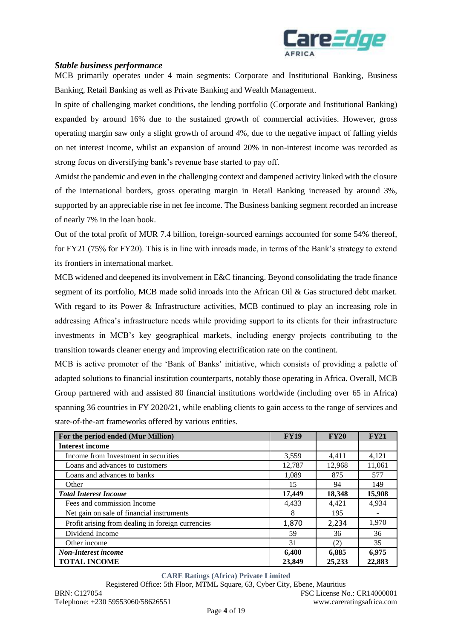

### *Stable business performance*

MCB primarily operates under 4 main segments: Corporate and Institutional Banking, Business Banking, Retail Banking as well as Private Banking and Wealth Management.

In spite of challenging market conditions, the lending portfolio (Corporate and Institutional Banking) expanded by around 16% due to the sustained growth of commercial activities. However, gross operating margin saw only a slight growth of around 4%, due to the negative impact of falling yields on net interest income, whilst an expansion of around 20% in non-interest income was recorded as strong focus on diversifying bank's revenue base started to pay off.

Amidst the pandemic and even in the challenging context and dampened activity linked with the closure of the international borders, gross operating margin in Retail Banking increased by around 3%, supported by an appreciable rise in net fee income. The Business banking segment recorded an increase of nearly 7% in the loan book.

Out of the total profit of MUR 7.4 billion, foreign-sourced earnings accounted for some 54% thereof, for FY21 (75% for FY20). This is in line with inroads made, in terms of the Bank's strategy to extend its frontiers in international market.

MCB widened and deepened its involvement in E&C financing. Beyond consolidating the trade finance segment of its portfolio, MCB made solid inroads into the African Oil & Gas structured debt market. With regard to its Power & Infrastructure activities, MCB continued to play an increasing role in addressing Africa's infrastructure needs while providing support to its clients for their infrastructure investments in MCB's key geographical markets, including energy projects contributing to the transition towards cleaner energy and improving electrification rate on the continent.

MCB is active promoter of the 'Bank of Banks' initiative, which consists of providing a palette of adapted solutions to financial institution counterparts, notably those operating in Africa. Overall, MCB Group partnered with and assisted 80 financial institutions worldwide (including over 65 in Africa) spanning 36 countries in FY 2020/21, while enabling clients to gain access to the range of services and state-of-the-art frameworks offered by various entities.

| For the period ended (Mur Million)                | <b>FY19</b> | <b>FY20</b> | <b>FY21</b> |
|---------------------------------------------------|-------------|-------------|-------------|
| <b>Interest income</b>                            |             |             |             |
| Income from Investment in securities              | 3,559       | 4,411       | 4,121       |
| Loans and advances to customers                   | 12,787      | 12,968      | 11,061      |
| Loans and advances to banks                       | 1,089       | 875         | 577         |
| Other                                             | 15          | 94          | 149         |
| <b>Total Interest Income</b>                      | 17,449      | 18,348      | 15,908      |
| Fees and commission Income                        | 4,433       | 4,421       | 4,934       |
| Net gain on sale of financial instruments         | 8           | 195         |             |
| Profit arising from dealing in foreign currencies | 1,870       | 2,234       | 1,970       |
| Dividend Income                                   | 59          | 36          | 36          |
| Other income                                      | 31          | (2)         | 35          |
| <b>Non-Interest income</b>                        | 6,400       | 6,885       | 6,975       |
| <b>TOTAL INCOME</b>                               | 23,849      | 25,233      | 22,883      |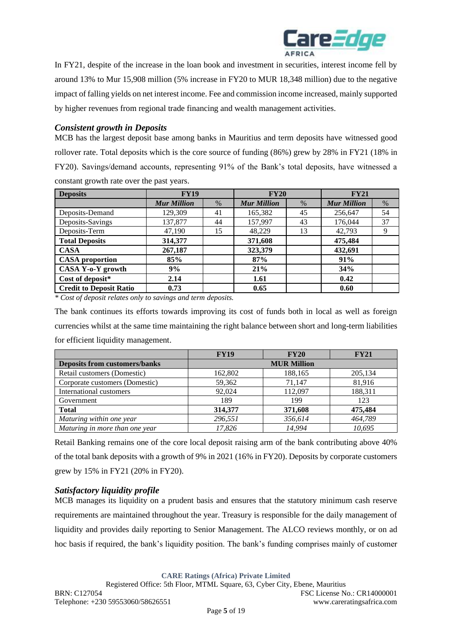

In FY21, despite of the increase in the loan book and investment in securities, interest income fell by around 13% to Mur 15,908 million (5% increase in FY20 to MUR 18,348 million) due to the negative impact of falling yields on net interest income. Fee and commission income increased, mainly supported by higher revenues from regional trade financing and wealth management activities.

# *Consistent growth in Deposits*

MCB has the largest deposit base among banks in Mauritius and term deposits have witnessed good rollover rate. Total deposits which is the core source of funding (86%) grew by 28% in FY21 (18% in FY20). Savings/demand accounts, representing 91% of the Bank's total deposits, have witnessed a constant growth rate over the past years.

| <b>Deposits</b>                | <b>FY19</b>        |      | <b>FY20</b>        |      | <b>FY21</b>        |      |
|--------------------------------|--------------------|------|--------------------|------|--------------------|------|
|                                | <b>Mur Million</b> | $\%$ | <b>Mur Million</b> | $\%$ | <b>Mur Million</b> | $\%$ |
| Deposits-Demand                | 129,309            | 41   | 165,382            | 45   | 256,647            | 54   |
| Deposits-Savings               | 137,877            | 44   | 157,997            | 43   | 176,044            | 37   |
| Deposits-Term                  | 47,190             | 15   | 48,229             | 13   | 42,793             | 9    |
| <b>Total Deposits</b>          | 314,377            |      | 371,608            |      | 475,484            |      |
| <b>CASA</b>                    | 267,187            |      | 323,379            |      | 432,691            |      |
| <b>CASA</b> proportion         | 85%                |      | 87%                |      | 91%                |      |
| CASA Y-o-Y growth              | 9%                 |      | 21%                |      | 34%                |      |
| Cost of deposit*               | 2.14               |      | 1.61               |      | 0.42               |      |
| <b>Credit to Deposit Ratio</b> | 0.73               |      | 0.65               |      | 0.60               |      |

*\* Cost of deposit relates only to savings and term deposits.*

The bank continues its efforts towards improving its cost of funds both in local as well as foreign currencies whilst at the same time maintaining the right balance between short and long-term liabilities for efficient liquidity management.

|                                      | <b>FY19</b>        | <b>FY20</b> | <b>FY21</b> |  |  |
|--------------------------------------|--------------------|-------------|-------------|--|--|
| <b>Deposits from customers/banks</b> | <b>MUR Million</b> |             |             |  |  |
| Retail customers (Domestic)          | 162,802            | 188,165     | 205,134     |  |  |
| Corporate customers (Domestic)       | 59,362             | 71,147      | 81,916      |  |  |
| International customers              | 92,024             | 112.097     | 188,311     |  |  |
| Government                           | 189                | 199         | 123         |  |  |
| <b>Total</b>                         | 314,377            | 371,608     | 475,484     |  |  |
| Maturing within one year             | 296,551            | 356,614     | 464,789     |  |  |
| Maturing in more than one year       | 17.826             | 14.994      | 10.695      |  |  |

Retail Banking remains one of the core local deposit raising arm of the bank contributing above 40% of the total bank deposits with a growth of 9% in 2021 (16% in FY20). Deposits by corporate customers grew by 15% in FY21 (20% in FY20).

### *Satisfactory liquidity profile*

MCB manages its liquidity on a prudent basis and ensures that the statutory minimum cash reserve requirements are maintained throughout the year. Treasury is responsible for the daily management of liquidity and provides daily reporting to Senior Management. The ALCO reviews monthly, or on ad hoc basis if required, the bank's liquidity position. The bank's funding comprises mainly of customer

**CARE Ratings (Africa) Private Limited**

Registered Office: 5th Floor, MTML Square, 63, Cyber City, Ebene, Mauritius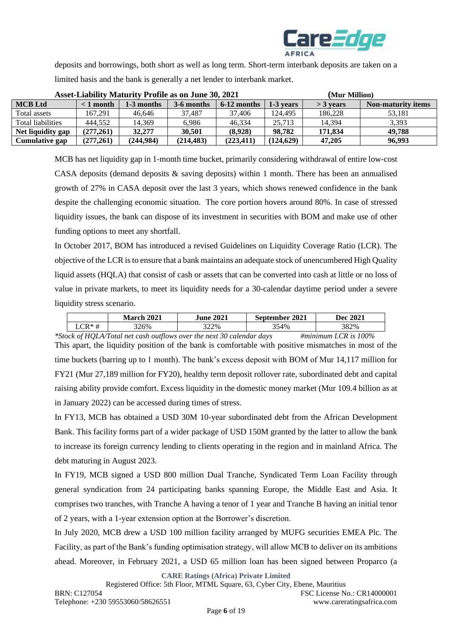

deposits and borrowings, both short as well as long term. Short-term interbank deposits are taken on a limited basis and the bank is generally a net lender to interbank market.

| <b>Asset-Liability Maturity Profile as on June 30, 2021</b> |           |            |            | (Mur Million) |           |             |                    |
|-------------------------------------------------------------|-----------|------------|------------|---------------|-----------|-------------|--------------------|
| <b>MCB</b> Ltd                                              | < 1 month | 1-3 months | 3-6 months | $6-12$ months | 1-3 years | $>$ 3 years | Non-maturity items |
| Total assets                                                | 167.291   | 46.646     | 37.487     | 37.406        | 124.495   | 186.228     | 53.181             |
| Total liabilities                                           | 444.552   | 14.369     | 6,986      | 46.334        | 25.713    | 14.394      | 3,393              |
| Net liquidity gap                                           | (277.261) | 32,277     | 30.501     | (8.928)       | 98.782    | 171.834     | 49,788             |
| Cumulative gap                                              | (277.261) | (244.984)  | (214, 483) | (223.411)     | (124.629) | 47,205      | 96.993             |

MCB has net liquidity gap in 1-month time bucket, primarily considering withdrawal of entire low-cost CASA deposits (demand deposits & saving deposits) within 1 month. There has been an annualised growth of 27% in CASA deposit over the last 3 years, which shows renewed confidence in the bank despite the challenging economic situation. The core portion hovers around 80%. In case of stressed liquidity issues, the bank can dispose of its investment in securities with BOM and make use of other funding options to meet any shortfall.

In October 2017, BOM has introduced a revised Guidelines on Liquidity Coverage Ratio (LCR). The objective of the LCR is to ensure that a bank maintains an adequate stock of unencumbered High Quality liquid assets (HQLA) that consist of cash or assets that can be converted into cash at little or no loss of value in private markets, to meet its liquidity needs for a 30-calendar daytime period under a severe liquidity stress scenario.

|                           | 2021<br>March | <b>June 2021</b> | 2021<br>.sentemher * | 2021<br>Dec . |
|---------------------------|---------------|------------------|----------------------|---------------|
| $\mathbf{P} * \mathbf{H}$ | 326%          | 322%             | 354%                 | 382%          |

*\*Stock of HQLA/Total net cash outflows over the next 30 calendar days #minimum LCR is 100%* This apart, the liquidity position of the bank is comfortable with positive mismatches in most of the time buckets (barring up to 1 month). The bank's excess deposit with BOM of Mur 14,117 million for FY21 (Mur 27,189 million for FY20), healthy term deposit rollover rate, subordinated debt and capital raising ability provide comfort. Excess liquidity in the domestic money market (Mur 109.4 billion as at in January 2022) can be accessed during times of stress.

In FY13, MCB has obtained a USD 30M 10-year subordinated debt from the African Development Bank. This facility forms part of a wider package of USD 150M granted by the latter to allow the bank to increase its foreign currency lending to clients operating in the region and in mainland Africa. The debt maturing in August 2023.

In FY19, MCB signed a USD 800 million Dual Tranche, Syndicated Term Loan Facility through general syndication from 24 participating banks spanning Europe, the Middle East and Asia. It comprises two tranches, with Tranche A having a tenor of 1 year and Tranche B having an initial tenor of 2 years, with a 1-year extension option at the Borrower's discretion.

In July 2020, MCB drew a USD 100 million facility arranged by MUFG securities EMEA Plc. The Facility, as part of the Bank's funding optimisation strategy, will allow MCB to deliver on its ambitions ahead. Moreover, in February 2021, a USD 65 million loan has been signed between Proparco (a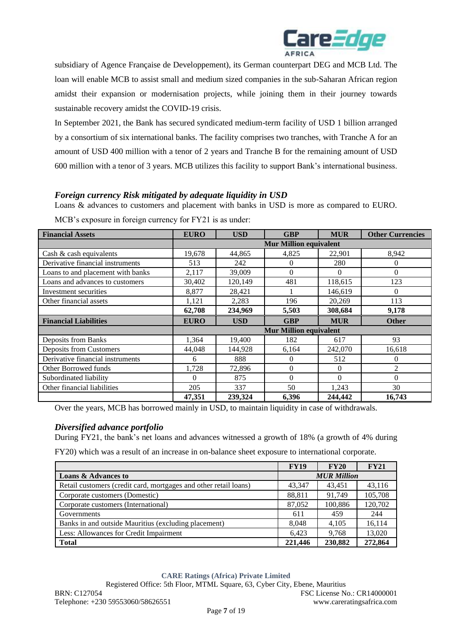

subsidiary of Agence Française de Developpement), its German counterpart DEG and MCB Ltd. The loan will enable MCB to assist small and medium sized companies in the sub-Saharan African region amidst their expansion or modernisation projects, while joining them in their journey towards sustainable recovery amidst the COVID-19 crisis.

In September 2021, the Bank has secured syndicated medium-term facility of USD 1 billion arranged by a consortium of six international banks. The facility comprises two tranches, with Tranche A for an amount of USD 400 million with a tenor of 2 years and Tranche B for the remaining amount of USD 600 million with a tenor of 3 years. MCB utilizes this facility to support Bank's international business.

## *Foreign currency Risk mitigated by adequate liquidity in USD*

Loans & advances to customers and placement with banks in USD is more as compared to EURO.

| <b>Financial Assets</b>           | <b>EURO</b>                   | <b>USD</b> | <b>GBP</b>                    | <b>MUR</b> | <b>Other Currencies</b> |  |  |
|-----------------------------------|-------------------------------|------------|-------------------------------|------------|-------------------------|--|--|
|                                   | <b>Mur Million equivalent</b> |            |                               |            |                         |  |  |
| Cash & cash equivalents           | 19,678                        | 44,865     | 4,825                         | 22,901     | 8,942                   |  |  |
| Derivative financial instruments  | 513                           | 242        | $\theta$                      | 280        | 0                       |  |  |
| Loans to and placement with banks | 2,117                         | 39,009     | $\Omega$                      | $\Omega$   | $\theta$                |  |  |
| Loans and advances to customers   | 30,402                        | 120,149    | 481                           | 118,615    | 123                     |  |  |
| Investment securities             | 8,877                         | 28,421     |                               | 146,619    | $\Omega$                |  |  |
| Other financial assets            | 1,121                         | 2,283      | 196                           | 20,269     | 113                     |  |  |
|                                   | 62,708                        | 234,969    | 5,503                         | 308,684    | 9,178                   |  |  |
| <b>Financial Liabilities</b>      | <b>EURO</b>                   | <b>USD</b> | <b>GBP</b>                    | <b>MUR</b> | <b>Other</b>            |  |  |
|                                   |                               |            | <b>Mur Million equivalent</b> |            |                         |  |  |
| Deposits from Banks               | 1,364                         | 19,400     | 182                           | 617        | 93                      |  |  |
| Deposits from Customers           | 44,048                        | 144,928    | 6,164                         | 242,070    | 16,618                  |  |  |
| Derivative financial instruments  | 6                             | 888        | $\mathbf{0}$                  | 512        | 0                       |  |  |
| Other Borrowed funds              | 1,728                         | 72,896     | $\mathbf{0}$                  | $\Omega$   | 2                       |  |  |
| Subordinated liability            | 0                             | 875        | $\Omega$                      | $\Omega$   | $\theta$                |  |  |
| Other financial liabilities       | 205                           | 337        | 50                            | 1,243      | 30                      |  |  |
|                                   | 47.351                        | 239,324    | 6.396                         | 244,442    | 16,743                  |  |  |

MCB's exposure in foreign currency for FY21 is as under:

Over the years, MCB has borrowed mainly in USD, to maintain liquidity in case of withdrawals.

### *Diversified advance portfolio*

During FY21, the bank's net loans and advances witnessed a growth of 18% (a growth of 4% during

FY20) which was a result of an increase in on-balance sheet exposure to international corporate.

|                                                                  | <b>FY19</b>        | <b>FY20</b> | <b>FY21</b> |  |
|------------------------------------------------------------------|--------------------|-------------|-------------|--|
| <b>Loans &amp; Advances to</b>                                   | <b>MUR Million</b> |             |             |  |
| Retail customers (credit card, mortgages and other retail loans) | 43,347             | 43,451      | 43,116      |  |
| Corporate customers (Domestic)                                   | 88,811             | 91.749      | 105,708     |  |
| Corporate customers (International)                              | 87,052             | 100,886     | 120,702     |  |
| Governments                                                      | 611                | 459         | 244         |  |
| Banks in and outside Mauritius (excluding placement)             | 8.048              | 4,105       | 16.114      |  |
| Less: Allowances for Credit Impairment                           | 6,423              | 9,768       | 13,020      |  |
| <b>Total</b>                                                     | 221,446            | 230,882     | 272,864     |  |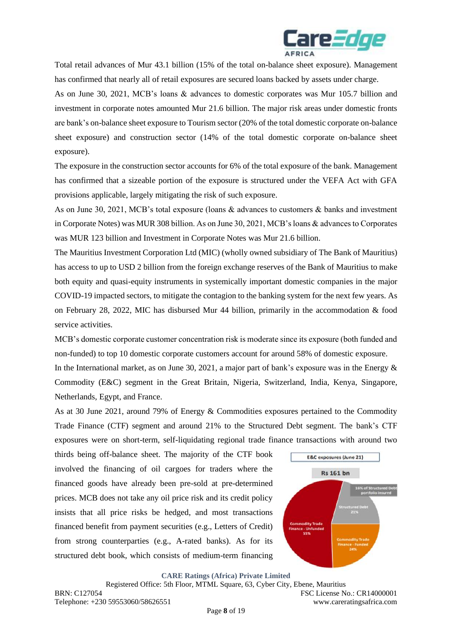

Total retail advances of Mur 43.1 billion (15% of the total on-balance sheet exposure). Management has confirmed that nearly all of retail exposures are secured loans backed by assets under charge.

As on June 30, 2021, MCB's loans & advances to domestic corporates was Mur 105.7 billion and investment in corporate notes amounted Mur 21.6 billion. The major risk areas under domestic fronts are bank's on-balance sheet exposure to Tourism sector (20% of the total domestic corporate on-balance sheet exposure) and construction sector (14% of the total domestic corporate on-balance sheet exposure).

The exposure in the construction sector accounts for 6% of the total exposure of the bank. Management has confirmed that a sizeable portion of the exposure is structured under the VEFA Act with GFA provisions applicable, largely mitigating the risk of such exposure.

As on June 30, 2021, MCB's total exposure (loans & advances to customers & banks and investment in Corporate Notes) was MUR 308 billion. As on June 30, 2021, MCB's loans & advances to Corporates was MUR 123 billion and Investment in Corporate Notes was Mur 21.6 billion.

The Mauritius Investment Corporation Ltd (MIC) (wholly owned subsidiary of The Bank of Mauritius) has access to up to USD 2 billion from the foreign exchange reserves of the Bank of Mauritius to make both equity and quasi-equity instruments in systemically important domestic companies in the major COVID-19 impacted sectors, to mitigate the contagion to the banking system for the next few years. As on February 28, 2022, MIC has disbursed Mur 44 billion, primarily in the accommodation & food service activities.

MCB's domestic corporate customer concentration risk is moderate since its exposure (both funded and non-funded) to top 10 domestic corporate customers account for around 58% of domestic exposure.

In the International market, as on June 30, 2021, a major part of bank's exposure was in the Energy & Commodity (E&C) segment in the Great Britain, Nigeria, Switzerland, India, Kenya, Singapore, Netherlands, Egypt, and France.

As at 30 June 2021, around 79% of Energy & Commodities exposures pertained to the Commodity Trade Finance (CTF) segment and around 21% to the Structured Debt segment. The bank's CTF exposures were on short-term, self-liquidating regional trade finance transactions with around two

thirds being off-balance sheet. The majority of the CTF book involved the financing of oil cargoes for traders where the financed goods have already been pre-sold at pre-determined prices. MCB does not take any oil price risk and its credit policy insists that all price risks be hedged, and most transactions financed benefit from payment securities (e.g., Letters of Credit) from strong counterparties (e.g., A-rated banks). As for its structured debt book, which consists of medium-term financing

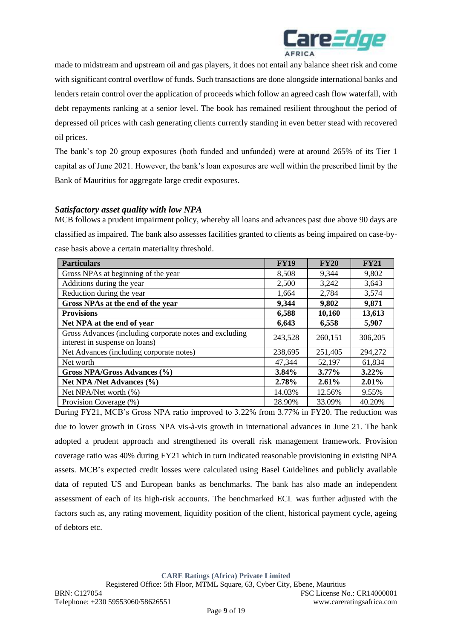

made to midstream and upstream oil and gas players, it does not entail any balance sheet risk and come with significant control overflow of funds. Such transactions are done alongside international banks and lenders retain control over the application of proceeds which follow an agreed cash flow waterfall, with debt repayments ranking at a senior level. The book has remained resilient throughout the period of depressed oil prices with cash generating clients currently standing in even better stead with recovered oil prices.

The bank's top 20 group exposures (both funded and unfunded) were at around 265% of its Tier 1 capital as of June 2021. However, the bank's loan exposures are well within the prescribed limit by the Bank of Mauritius for aggregate large credit exposures.

### *Satisfactory asset quality with low NPA*

MCB follows a prudent impairment policy, whereby all loans and advances past due above 90 days are classified as impaired. The bank also assesses facilities granted to clients as being impaired on case-bycase basis above a certain materiality threshold.

| <b>Particulars</b>                                                                        | <b>FY19</b> | FY20     | <b>FY21</b> |
|-------------------------------------------------------------------------------------------|-------------|----------|-------------|
| Gross NPAs at beginning of the year                                                       | 8,508       | 9,344    | 9,802       |
| Additions during the year                                                                 | 2,500       | 3,242    | 3,643       |
| Reduction during the year                                                                 | 1,664       | 2,784    | 3,574       |
| Gross NPAs at the end of the year                                                         | 9,344       | 9,802    | 9,871       |
| <b>Provisions</b>                                                                         | 6,588       | 10,160   | 13,613      |
| Net NPA at the end of year                                                                | 6,643       | 6,558    | 5,907       |
| Gross Advances (including corporate notes and excluding<br>interest in suspense on loans) | 243,528     | 260,151  | 306,205     |
| Net Advances (including corporate notes)                                                  | 238,695     | 251,405  | 294,272     |
| Net worth                                                                                 | 47,344      | 52,197   | 61,834      |
| Gross NPA/Gross Advances (%)                                                              | 3.84%       | 3.77%    | $3.22\%$    |
| Net NPA /Net Advances (%)                                                                 | 2.78%       | $2.61\%$ | $2.01\%$    |
| Net NPA/Net worth (%)                                                                     | 14.03%      | 12.56%   | 9.55%       |
| Provision Coverage (%)                                                                    | 28.90%      | 33.09%   | 40.20%      |

During FY21, MCB's Gross NPA ratio improved to 3.22% from 3.77% in FY20. The reduction was due to lower growth in Gross NPA vis-à-vis growth in international advances in June 21. The bank adopted a prudent approach and strengthened its overall risk management framework. Provision coverage ratio was 40% during FY21 which in turn indicated reasonable provisioning in existing NPA assets. MCB's expected credit losses were calculated using Basel Guidelines and publicly available data of reputed US and European banks as benchmarks. The bank has also made an independent assessment of each of its high-risk accounts. The benchmarked ECL was further adjusted with the factors such as, any rating movement, liquidity position of the client, historical payment cycle, ageing of debtors etc.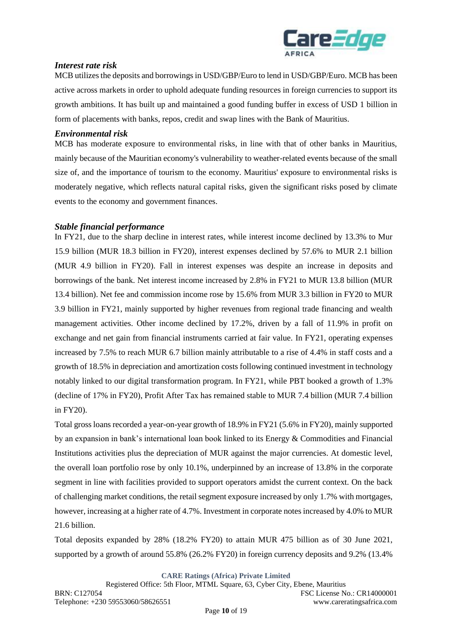

### *Interest rate risk*

MCB utilizes the deposits and borrowings in USD/GBP/Euro to lend in USD/GBP/Euro. MCB has been active across markets in order to uphold adequate funding resources in foreign currencies to support its growth ambitions. It has built up and maintained a good funding buffer in excess of USD 1 billion in form of placements with banks, repos, credit and swap lines with the Bank of Mauritius.

#### *Environmental risk*

MCB has moderate exposure to environmental risks, in line with that of other banks in Mauritius, mainly because of the Mauritian economy's vulnerability to weather-related events because of the small size of, and the importance of tourism to the economy. Mauritius' exposure to environmental risks is moderately negative, which reflects natural capital risks, given the significant risks posed by climate events to the economy and government finances.

#### *Stable financial performance*

In FY21, due to the sharp decline in interest rates, while interest income declined by 13.3% to Mur 15.9 billion (MUR 18.3 billion in FY20), interest expenses declined by 57.6% to MUR 2.1 billion (MUR 4.9 billion in FY20). Fall in interest expenses was despite an increase in deposits and borrowings of the bank. Net interest income increased by 2.8% in FY21 to MUR 13.8 billion (MUR 13.4 billion). Net fee and commission income rose by 15.6% from MUR 3.3 billion in FY20 to MUR 3.9 billion in FY21, mainly supported by higher revenues from regional trade financing and wealth management activities. Other income declined by 17.2%, driven by a fall of 11.9% in profit on exchange and net gain from financial instruments carried at fair value. In FY21, operating expenses increased by 7.5% to reach MUR 6.7 billion mainly attributable to a rise of 4.4% in staff costs and a growth of 18.5% in depreciation and amortization costs following continued investment in technology notably linked to our digital transformation program. In FY21, while PBT booked a growth of 1.3% (decline of 17% in FY20), Profit After Tax has remained stable to MUR 7.4 billion (MUR 7.4 billion in FY20).

Total gross loans recorded a year-on-year growth of 18.9% in FY21 (5.6% in FY20), mainly supported by an expansion in bank's international loan book linked to its Energy & Commodities and Financial Institutions activities plus the depreciation of MUR against the major currencies. At domestic level, the overall loan portfolio rose by only 10.1%, underpinned by an increase of 13.8% in the corporate segment in line with facilities provided to support operators amidst the current context. On the back of challenging market conditions, the retail segment exposure increased by only 1.7% with mortgages, however, increasing at a higher rate of 4.7%. Investment in corporate notes increased by 4.0% to MUR 21.6 billion.

Total deposits expanded by 28% (18.2% FY20) to attain MUR 475 billion as of 30 June 2021, supported by a growth of around 55.8% (26.2% FY20) in foreign currency deposits and 9.2% (13.4%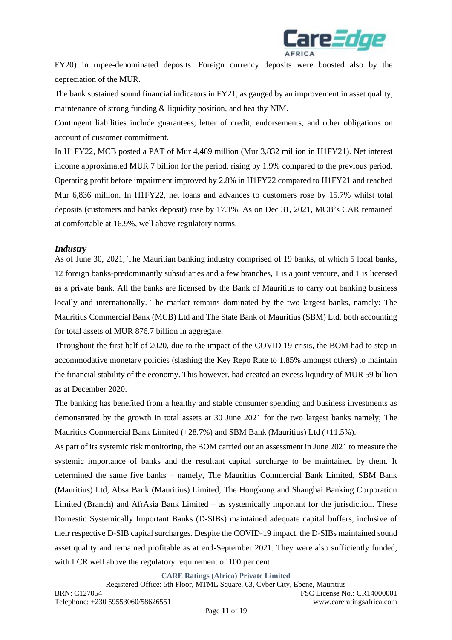

FY20) in rupee-denominated deposits. Foreign currency deposits were boosted also by the depreciation of the MUR.

The bank sustained sound financial indicators in FY21, as gauged by an improvement in asset quality, maintenance of strong funding & liquidity position, and healthy NIM.

Contingent liabilities include guarantees, letter of credit, endorsements, and other obligations on account of customer commitment.

In H1FY22, MCB posted a PAT of Mur 4,469 million (Mur 3,832 million in H1FY21). Net interest income approximated MUR 7 billion for the period, rising by 1.9% compared to the previous period. Operating profit before impairment improved by 2.8% in H1FY22 compared to H1FY21 and reached Mur 6,836 million. In H1FY22, net loans and advances to customers rose by 15.7% whilst total deposits (customers and banks deposit) rose by 17.1%. As on Dec 31, 2021, MCB's CAR remained at comfortable at 16.9%, well above regulatory norms.

#### *Industry*

As of June 30, 2021, The Mauritian banking industry comprised of 19 banks, of which 5 local banks, 12 foreign banks-predominantly subsidiaries and a few branches, 1 is a joint venture, and 1 is licensed as a private bank. All the banks are licensed by the Bank of Mauritius to carry out banking business locally and internationally. The market remains dominated by the two largest banks, namely: The Mauritius Commercial Bank (MCB) Ltd and The State Bank of Mauritius (SBM) Ltd, both accounting for total assets of MUR 876.7 billion in aggregate.

Throughout the first half of 2020, due to the impact of the COVID 19 crisis, the BOM had to step in accommodative monetary policies (slashing the Key Repo Rate to 1.85% amongst others) to maintain the financial stability of the economy. This however, had created an excess liquidity of MUR 59 billion as at December 2020.

The banking has benefited from a healthy and stable consumer spending and business investments as demonstrated by the growth in total assets at 30 June 2021 for the two largest banks namely; The Mauritius Commercial Bank Limited  $(+28.7%)$  and SBM Bank (Mauritius) Ltd  $(+11.5%)$ .

As part of its systemic risk monitoring, the BOM carried out an assessment in June 2021 to measure the systemic importance of banks and the resultant capital surcharge to be maintained by them. It determined the same five banks – namely, The Mauritius Commercial Bank Limited, SBM Bank (Mauritius) Ltd, Absa Bank (Mauritius) Limited, The Hongkong and Shanghai Banking Corporation Limited (Branch) and AfrAsia Bank Limited – as systemically important for the jurisdiction. These Domestic Systemically Important Banks (D-SIBs) maintained adequate capital buffers, inclusive of their respective D-SIB capital surcharges. Despite the COVID-19 impact, the D-SIBs maintained sound asset quality and remained profitable as at end-September 2021. They were also sufficiently funded, with LCR well above the regulatory requirement of 100 per cent.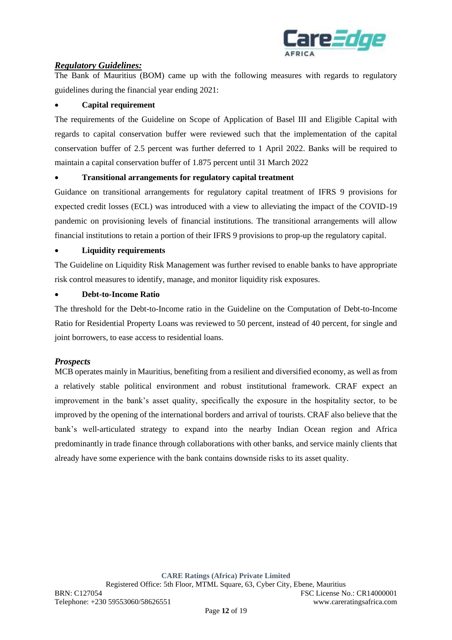

# *Regulatory Guidelines:*

The Bank of Mauritius (BOM) came up with the following measures with regards to regulatory guidelines during the financial year ending 2021:

## • **Capital requirement**

The requirements of the Guideline on Scope of Application of Basel III and Eligible Capital with regards to capital conservation buffer were reviewed such that the implementation of the capital conservation buffer of 2.5 percent was further deferred to 1 April 2022. Banks will be required to maintain a capital conservation buffer of 1.875 percent until 31 March 2022

### • **Transitional arrangements for regulatory capital treatment**

Guidance on transitional arrangements for regulatory capital treatment of IFRS 9 provisions for expected credit losses (ECL) was introduced with a view to alleviating the impact of the COVID-19 pandemic on provisioning levels of financial institutions. The transitional arrangements will allow financial institutions to retain a portion of their IFRS 9 provisions to prop-up the regulatory capital.

### • **Liquidity requirements**

The Guideline on Liquidity Risk Management was further revised to enable banks to have appropriate risk control measures to identify, manage, and monitor liquidity risk exposures.

### • **Debt-to-Income Ratio**

The threshold for the Debt-to-Income ratio in the Guideline on the Computation of Debt-to-Income Ratio for Residential Property Loans was reviewed to 50 percent, instead of 40 percent, for single and joint borrowers, to ease access to residential loans.

### *Prospects*

MCB operates mainly in Mauritius, benefiting from a resilient and diversified economy, as well as from a relatively stable political environment and robust institutional framework. CRAF expect an improvement in the bank's asset quality, specifically the exposure in the hospitality sector, to be improved by the opening of the international borders and arrival of tourists. CRAF also believe that the bank's well-articulated strategy to expand into the nearby Indian Ocean region and Africa predominantly in trade finance through collaborations with other banks, and service mainly clients that already have some experience with the bank contains downside risks to its asset quality.